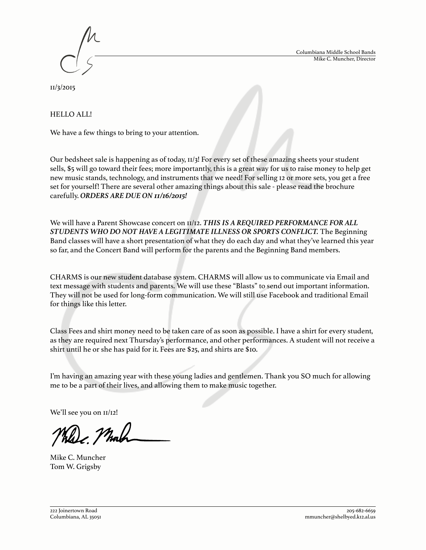Columbiana Middle School Bands Mike C. Muncher, Director



11/3/2015

# HELLO ALL!

We have a few things to bring to your attention.

Our bedsheet sale is happening as of today, 11/3! For every set of these amazing sheets your student sells, \$5 will go toward their fees; more importantly, this is a great way for us to raise money to help get new music stands, technology, and instruments that we need! For selling 12 or more sets, you get a free set for yourself! There are several other amazing things about this sale - please read the brochure carefully. *ORDERS ARE DUE ON 11/16/2015!*

We will have a Parent Showcase concert on 11/12. *THIS IS A REQUIRED PERFORMANCE FOR ALL STUDENTS WHO DO NOT HAVE A LEGITIMATE ILLNESS OR SPORTS CONFLICT.* The Beginning Band classes will have a short presentation of what they do each day and what they've learned this year so far, and the Concert Band will perform for the parents and the Beginning Band members.

CHARMS is our new student database system. CHARMS will allow us to communicate via Email and text message with students and parents. We will use these "Blasts" to send out important information. They will not be used for long-form communication. We will still use Facebook and traditional Email for things like this letter.

Class Fees and shirt money need to be taken care of as soon as possible. I have a shirt for every student, as they are required next Thursday's performance, and other performances. A student will not receive a shirt until he or she has paid for it. Fees are \$25, and shirts are \$10.

I'm having an amazing year with these young ladies and gentlemen. Thank you SO much for allowing me to be a part of their lives, and allowing them to make music together.

We'll see you on  $II/I2!$ 

c. Malt

Mike C. Muncher Tom W. Grigsby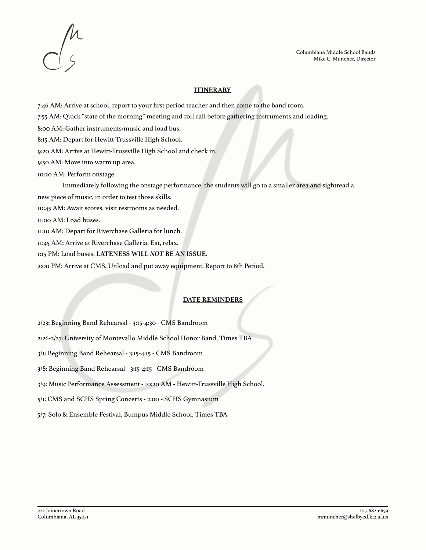



### **ITINERARY**

7:46 AM: Arrive at school, report to your first period teacher and then come to the band room.

7:55 AM: Quick "state of the morning" meeting and roll call before gathering instruments and loading.

8:00 AM: Gather instruments/music and load bus.

8:15 AM: Depart for Hewitt-Trussville High School.

9:20 AM: Arrive at Hewitt-Trussville High School and check in.

9:50 AM: Move into warm up area.

10:20 AM: Perform onstage.

Immediately following the onstage performance, the students will go to a smaller area and sightread a

new piece of music, in order to test those skills.

10:45 AM: Await scores, visit restrooms as needed.

11:00 AM: Load buses.

11:10 AM: Depart for Riverchase Galleria for lunch.

11:45 AM: Arrive at Riverchase Galleria. Eat, relax.

1:15 PM: Load buses. **LATENESS WILL** *NOT* **BE AN ISSUE.**

2:00 PM: Arrive at CMS. Unload and put away equipment. Report to 8th Period.

# **DATE REMINDERS**

2/23: Beginning Band Rehearsal - 3:15-4:30 - CMS Bandroom

2/26-2/27: University of Montevallo Middle School Honor Band, Times TBA

3/1: Beginning Band Rehearsal - 3:15-4:15 - CMS Bandroom

3/8: Beginning Band Rehearsal - 3:15-4:15 - CMS Bandroom

3/9: Music Performance Assessment - 10:20 AM - Hewitt-Trussville High School.

5/1: CMS and SCHS Spring Concerts - 2:00 - SCHS Gymnasium

5/7: Solo & Ensemble Festival, Bumpus Middle School, Times TBA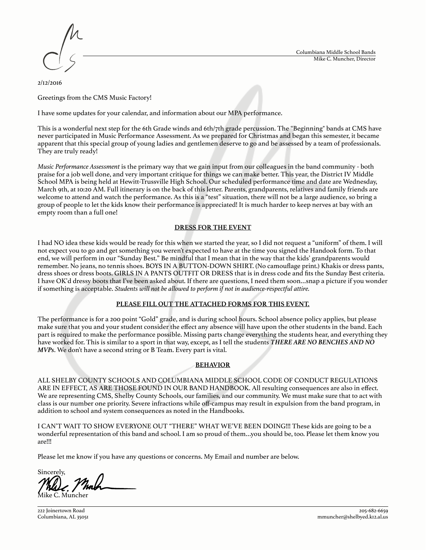

2/12/2016

Greetings from the CMS Music Factory!

I have some updates for your calendar, and information about our MPA performance.

This is a wonderful next step for the 6th Grade winds and 6th/7th grade percussion. The "Beginning" bands at CMS have never participated in Music Performance Assessment. As we prepared for Christmas and began this semester, it became apparent that this special group of young ladies and gentlemen deserve to go and be assessed by a team of professionals. They are truly ready!

*Music Performance Assessment* is the primary way that we gain input from our colleagues in the band community - both praise for a job well done, and very important critique for things we can make better. This year, the District IV Middle School MPA is being held at Hewitt-Trussville High School. Our scheduled performance time and date are Wednesday, March 9th, at 10:20 AM. Full itinerary is on the back of this letter. Parents, grandparents, relatives and family friends are welcome to attend and watch the performance. As this is a "test" situation, there will not be a large audience, so bring a group of people to let the kids know their performance is appreciated! It is much harder to keep nerves at bay with an empty room than a full one!

## **DRESS FOR THE EVENT**

I had NO idea these kids would be ready for this when we started the year, so I did not request a "uniform" of them. I will not expect you to go and get something you weren't expected to have at the time you signed the Handook form. To that end, we will perform in our "Sunday Best." Be mindful that I mean that in the way that the kids' grandparents would remember. No jeans, no tennis shoes. BOYS IN A BUTTON-DOWN SHIRT. (No camouflage print.) Khakis or dress pants, dress shoes or dress boots. GIRLS IN A PANTS OUTFIT OR DRESS that is in dress code and fits the Sunday Best criteria. I have OK'd dressy boots that I've been asked about. If there are questions, I need them soon…snap a picture if you wonder if something is acceptable. *Students will not be allowed to perform if not in audience-respectful attire.*

#### **PLEASE FILL OUT THE ATTACHED FORMS FOR THIS EVENT.**

The performance is for a 200 point "Gold" grade, and is during school hours. School absence policy applies, but please make sure that you and your student consider the effect any absence will have upon the other students in the band. Each part is required to make the performance possible. Missing parts change everything the students hear, and everything they have worked for. This is similar to a sport in that way, except, as I tell the students *THERE ARE NO BENCHES AND NO MVPs*. We don't have a second string or B Team. Every part is vital.

#### **BEHAVIOR**

ALL SHELBY COUNTY SCHOOLS AND COLUMBIANA MIDDLE SCHOOL CODE OF CONDUCT REGULATIONS ARE IN EFFECT, AS ARE THOSE FOUND IN OUR BAND HANDBOOK. All resulting consequences are also in effect. We are representing CMS, Shelby County Schools, our families, and our community. We must make sure that to act with class is our number one priority. Severe infractions while off-campus may result in expulsion from the band program, in addition to school and system consequences as noted in the Handbooks.

I CAN'T WAIT TO SHOW EVERYONE OUT "THERE" WHAT WE'VE BEEN DOING!!! These kids are going to be a wonderful representation of this band and school. I am so proud of them…you should be, too. Please let them know you are!!!

Please let me know if you have any questions or concerns. My Email and number are below.

Sincerely, Mike C. Muncher

222 Joinertown Road Columbiana, AL 35051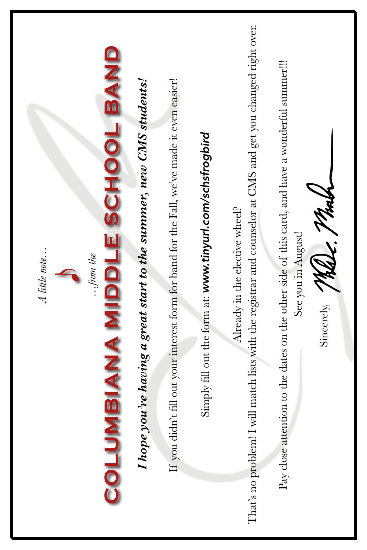That's no problem! I will match lists with the registrar and counselor at CMS and get you changed right over. That's no problem! I will match lists with the registrar and counselor at CMS and get you changed right over. **COLUMBIANA MIDDLE SCHOOL BAND**  COLUMBIANA MIDDLE SCHOOL BAND Pay close attention to the dates on the other side of this card, and have a wonderful summer!!! Pay close attention to the dates on the other side of this card, and have a wonderful summer!!! If you didn't fill out your interest form for band for the Fall, we've made it even easier! *I hope you're having a great start to the summer, new CMS students!*  If you didn't fill out your interest form for band for the Fall, we've made it even easier! I hope you're having a great start to the summer, new CMS students! Simply fill out the form at: www.tinyurl.com/schsfrogbird Simply fill out the form at: *www.tinyurl.com/schsfrogbird* Sincerely, Malle, Mall Already in the elective wheel? Already in the elective wheel? See you in August! See you in August! *A little note…*  A little note... *…from the*  **experience** Sincerely,